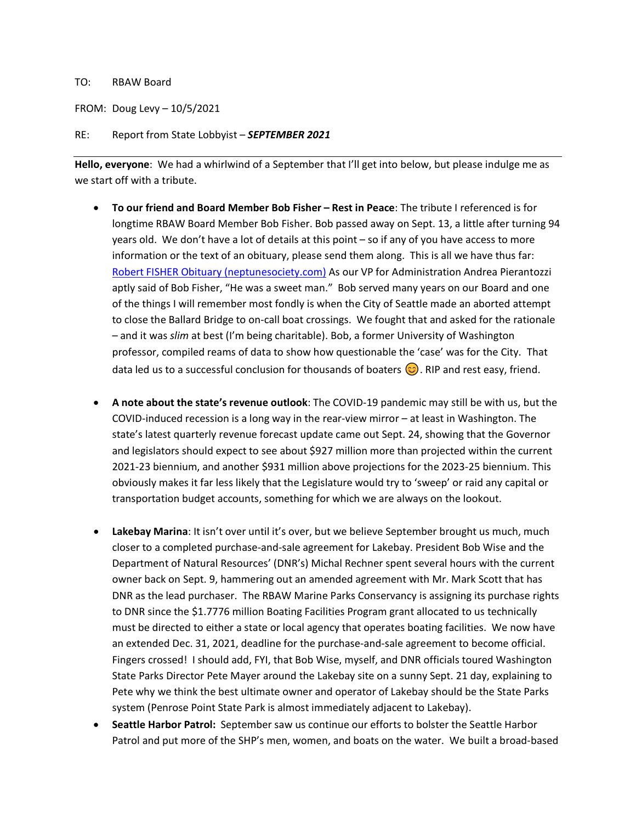## TO: RBAW Board

FROM: Doug Levy – 10/5/2021

## RE: Report from State Lobbyist – *SEPTEMBER 2021*

**Hello, everyone**: We had a whirlwind of a September that I'll get into below, but please indulge me as we start off with a tribute.

- **To our friend and Board Member Bob Fisher – Rest in Peace**: The tribute I referenced is for longtime RBAW Board Member Bob Fisher. Bob passed away on Sept. 13, a little after turning 94 years old. We don't have a lot of details at this point – so if any of you have access to more information or the text of an obituary, please send them along. This is all we have thus far: [Robert FISHER Obituary \(neptunesociety.com\)](https://obituaries.neptunesociety.com/obituaries/lynnwood-wa/robert-fisher-10359081) As our VP for Administration Andrea Pierantozzi aptly said of Bob Fisher, "He was a sweet man." Bob served many years on our Board and one of the things I will remember most fondly is when the City of Seattle made an aborted attempt to close the Ballard Bridge to on-call boat crossings. We fought that and asked for the rationale – and it was *slim* at best (I'm being charitable). Bob, a former University of Washington professor, compiled reams of data to show how questionable the 'case' was for the City. That data led us to a successful conclusion for thousands of boaters  $\odot$ . RIP and rest easy, friend.
- **A note about the state's revenue outlook**: The COVID-19 pandemic may still be with us, but the COVID-induced recession is a long way in the rear-view mirror – at least in Washington. The state's latest quarterly revenue forecast update came out Sept. 24, showing that the Governor and legislators should expect to see about \$927 million more than projected within the current 2021-23 biennium, and another \$931 million above projections for the 2023-25 biennium. This obviously makes it far less likely that the Legislature would try to 'sweep' or raid any capital or transportation budget accounts, something for which we are always on the lookout.
- **Lakebay Marina**: It isn't over until it's over, but we believe September brought us much, much closer to a completed purchase-and-sale agreement for Lakebay. President Bob Wise and the Department of Natural Resources' (DNR's) Michal Rechner spent several hours with the current owner back on Sept. 9, hammering out an amended agreement with Mr. Mark Scott that has DNR as the lead purchaser. The RBAW Marine Parks Conservancy is assigning its purchase rights to DNR since the \$1.7776 million Boating Facilities Program grant allocated to us technically must be directed to either a state or local agency that operates boating facilities. We now have an extended Dec. 31, 2021, deadline for the purchase-and-sale agreement to become official. Fingers crossed! I should add, FYI, that Bob Wise, myself, and DNR officials toured Washington State Parks Director Pete Mayer around the Lakebay site on a sunny Sept. 21 day, explaining to Pete why we think the best ultimate owner and operator of Lakebay should be the State Parks system (Penrose Point State Park is almost immediately adjacent to Lakebay).
- **Seattle Harbor Patrol:** September saw us continue our efforts to bolster the Seattle Harbor Patrol and put more of the SHP's men, women, and boats on the water. We built a broad-based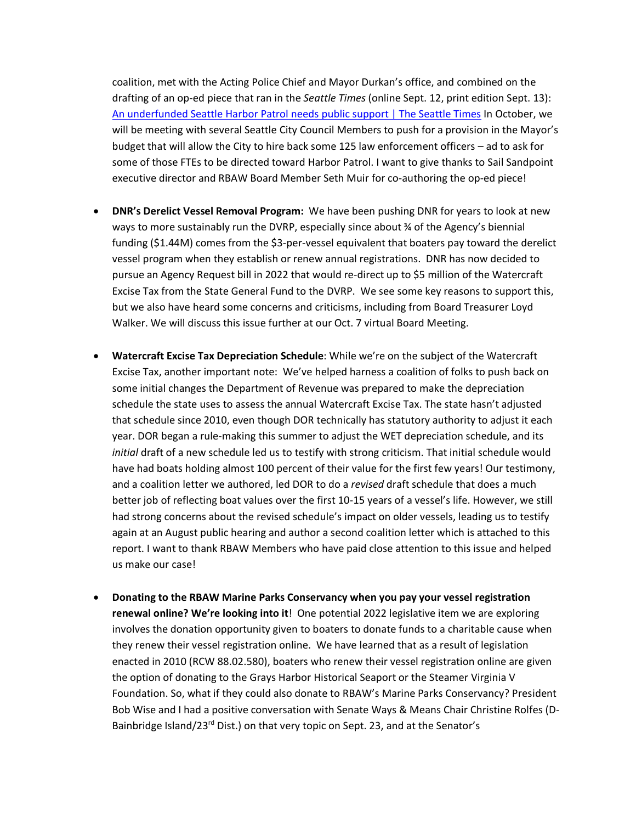coalition, met with the Acting Police Chief and Mayor Durkan's office, and combined on the drafting of an op-ed piece that ran in the *Seattle Times* (online Sept. 12, print edition Sept. 13): [An underfunded Seattle Harbor Patrol needs public support | The Seattle Times](https://www.seattletimes.com/opinion/an-underfunded-seattle-harbor-patrol-needs-public-support/) In October, we will be meeting with several Seattle City Council Members to push for a provision in the Mayor's budget that will allow the City to hire back some 125 law enforcement officers – ad to ask for some of those FTEs to be directed toward Harbor Patrol. I want to give thanks to Sail Sandpoint executive director and RBAW Board Member Seth Muir for co-authoring the op-ed piece!

- **DNR's Derelict Vessel Removal Program:** We have been pushing DNR for years to look at new ways to more sustainably run the DVRP, especially since about ¾ of the Agency's biennial funding (\$1.44M) comes from the \$3-per-vessel equivalent that boaters pay toward the derelict vessel program when they establish or renew annual registrations. DNR has now decided to pursue an Agency Request bill in 2022 that would re-direct up to \$5 million of the Watercraft Excise Tax from the State General Fund to the DVRP. We see some key reasons to support this, but we also have heard some concerns and criticisms, including from Board Treasurer Loyd Walker. We will discuss this issue further at our Oct. 7 virtual Board Meeting.
- **Watercraft Excise Tax Depreciation Schedule**: While we're on the subject of the Watercraft Excise Tax, another important note: We've helped harness a coalition of folks to push back on some initial changes the Department of Revenue was prepared to make the depreciation schedule the state uses to assess the annual Watercraft Excise Tax. The state hasn't adjusted that schedule since 2010, even though DOR technically has statutory authority to adjust it each year. DOR began a rule-making this summer to adjust the WET depreciation schedule, and its *initial* draft of a new schedule led us to testify with strong criticism. That initial schedule would have had boats holding almost 100 percent of their value for the first few years! Our testimony, and a coalition letter we authored, led DOR to do a *revised* draft schedule that does a much better job of reflecting boat values over the first 10-15 years of a vessel's life. However, we still had strong concerns about the revised schedule's impact on older vessels, leading us to testify again at an August public hearing and author a second coalition letter which is attached to this report. I want to thank RBAW Members who have paid close attention to this issue and helped us make our case!
- **Donating to the RBAW Marine Parks Conservancy when you pay your vessel registration renewal online? We're looking into it**! One potential 2022 legislative item we are exploring involves the donation opportunity given to boaters to donate funds to a charitable cause when they renew their vessel registration online. We have learned that as a result of legislation enacted in 2010 (RCW 88.02.580), boaters who renew their vessel registration online are given the option of donating to the Grays Harbor Historical Seaport or the Steamer Virginia V Foundation. So, what if they could also donate to RBAW's Marine Parks Conservancy? President Bob Wise and I had a positive conversation with Senate Ways & Means Chair Christine Rolfes (D-Bainbridge Island/23<sup>rd</sup> Dist.) on that very topic on Sept. 23, and at the Senator's